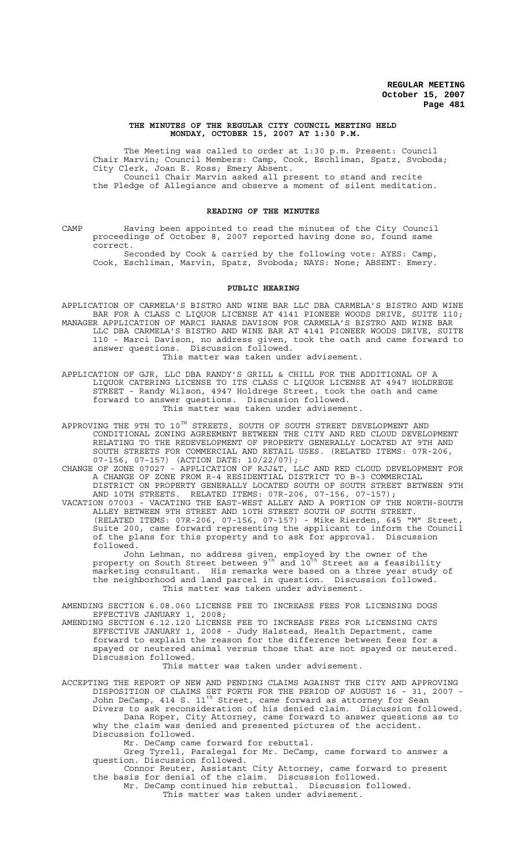### **THE MINUTES OF THE REGULAR CITY COUNCIL MEETING HELD MONDAY, OCTOBER 15, 2007 AT 1:30 P.M.**

The Meeting was called to order at 1:30 p.m. Present: Council Chair Marvin; Council Members: Camp, Cook, Eschliman, Spatz, Svoboda; City Clerk, Joan E. Ross; Emery Absent. Council Chair Marvin asked all present to stand and recite the Pledge of Allegiance and observe a moment of silent meditation.

### **READING OF THE MINUTES**

CAMP Having been appointed to read the minutes of the City Council proceedings of October 8, 2007 reported having done so, found same correct.

Seconded by Cook & carried by the following vote: AYES: Camp, Cook, Eschliman, Marvin, Spatz, Svoboda; NAYS: None; ABSENT: Emery.

### **PUBLIC HEARING**

APPLICATION OF CARMELA'S BISTRO AND WINE BAR LLC DBA CARMELA'S BISTRO AND WINE BAR FOR A CLASS C LIQUOR LICENSE AT 4141 PIONEER WOODS DRIVE, SUITE 110; MANAGER APPLICATION OF MARCI RANAE DAVISON FOR CARMELA'S BISTRO AND WINE BAR LLC DBA CARMELA'S BISTRO AND WINE BAR AT 4141 PIONEER WOODS DRIVE, SUITE 110 - Marci Davison, no address given, took the oath and came forward to answer questions. Discussion followed. This matter was taken under advisement.

APPLICATION OF GJR, LLC DBA RANDY'S GRILL & CHILL FOR THE ADDITIONAL OF A LIQUOR CATERING LICENSE TO ITS CLASS C LIQUOR LICENSE AT 4947 HOLDREGE STREET - Randy Wilson, 4947 Holdrege Street, took the oath and came forward to answer questions. Discussion followed. This matter was taken under advisement.

APPROVING THE 9TH TO 10 $^{\text{\tiny{\text{TH}}} }$  STREETS, SOUTH OF SOUTH STREET DEVELOPMENT AND CONDITIONAL ZONING AGREEMENT BETWEEN THE CITY AND RED CLOUD DEVELOPMENT RELATING TO THE REDEVELOPMENT OF PROPERTY GENERALLY LOCATED AT 9TH AND SOUTH STREETS FOR COMMERCIAL AND RETAIL USES. (RELATED ITEMS: 07R-206,

07-156, 07-157) (ACTION DATE: 10/22/07);

CHANGE OF ZONE 07027 - APPLICATION OF RJJ&T, LLC AND RED CLOUD DEVELOPMENT FOR A CHANGE OF ZONE FROM R-4 RESIDENTIAL DISTRICT TO B-3 COMMERCIAL DISTRICT ON PROPERTY GENERALLY LOCATED SOUTH OF SOUTH STREET BETWEEN 9TH AND 10TH STREETS. RELATED ITEMS: 07R-206, 07-156, 07-157);

VACATION 07003 - VACATING THE EAST-WEST ALLEY AND A PORTION OF THE NORTH-SOUTH ALLEY BETWEEN 9TH STREET AND 10TH STREET SOUTH OF SOUTH STREET. (RELATED ITEMS: 07R-206, 07-156, 07-157) - Mike Rierden, 645 "M" Street, Suite 200, came forward representing the applicant to inform the Council of the plans for this property and to ask for approval. Discussion followed.

John Lehman, no address given, employed by the owner of the property on South Street between  $9^{\text{th}}$  and  $10^{\text{th}}$  Street as a feasibility marketing consultant. His remarks were based on a three year study of the neighborhood and land parcel in question. Discussion followed. This matter was taken under advisement.

AMENDING SECTION 6.08.060 LICENSE FEE TO INCREASE FEES FOR LICENSING DOGS EFFECTIVE JANUARY 1, 2008;

AMENDING SECTION 6.12.120 LICENSE FEE TO INCREASE FEES FOR LICENSING CATS EFFECTIVE JANUARY 1, 2008 - Judy Halstead, Health Department, came forward to explain the reason for the difference between fees for a spayed or neutered animal versus those that are not spayed or neutered. Discussion followed.

This matter was taken under advisement.

ACCEPTING THE REPORT OF NEW AND PENDING CLAIMS AGAINST THE CITY AND APPROVING DISPOSITION OF CLAIMS SET FORTH FOR THE PERIOD OF AUGUST 16 - 31, 2007 - John DeCamp, 414 S.  $11^{\text{th}}$  Street, came forward as attorney for Sean Divers to ask reconsideration of his denied claim. Discussion followed. Dana Roper, City Attorney, came forward to answer questions as to why the claim was denied and presented pictures of the accident. Discussion followed.

Mr. DeCamp came forward for rebuttal.

Greg Tyrell, Paralegal for Mr. DeCamp, came forward to answer a question. Discussion followed.

Connor Reuter, Assistant City Attorney, came forward to present the basis for denial of the claim. Discussion followed.

Mr. DeCamp continued his rebuttal. Discussion followed. This matter was taken under advisement.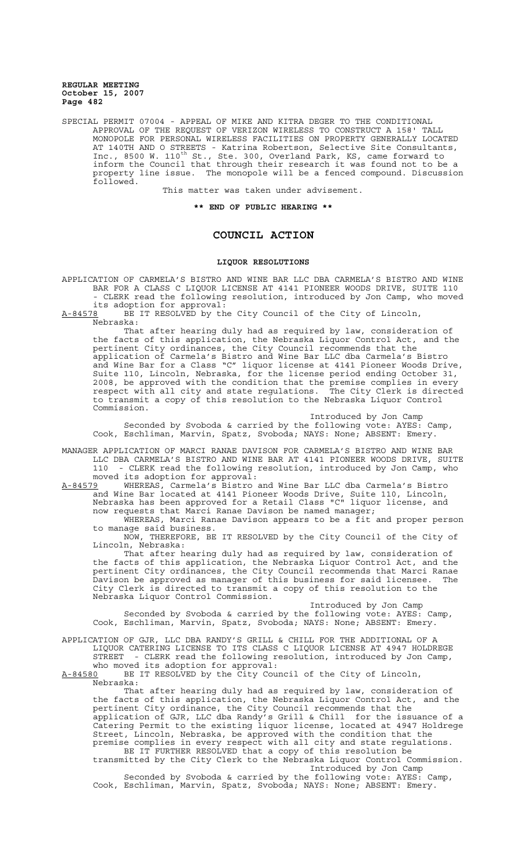SPECIAL PERMIT 07004 - APPEAL OF MIKE AND KITRA DEGER TO THE CONDITIONAL APPROVAL OF THE REQUEST OF VERIZON WIRELESS TO CONSTRUCT A 158' TALL MONOPOLE FOR PERSONAL WIRELESS FACILITIES ON PROPERTY GENERALLY LOCATED AT 140TH AND O STREETS - Katrina Robertson, Selective Site Consultants, Inc., 8500 W. 110<sup>th</sup> St., Ste. 300, Overland Park, KS, came forward to inform the Council that through their research it was found not to be a property line issue. The monopole will be a fenced compound. Discussion followed.

This matter was taken under advisement.

**\*\* END OF PUBLIC HEARING \*\***

# **COUNCIL ACTION**

#### **LIQUOR RESOLUTIONS**

APPLICATION OF CARMELA'S BISTRO AND WINE BAR LLC DBA CARMELA'S BISTRO AND WINE BAR FOR A CLASS C LIQUOR LICENSE AT 4141 PIONEER WOODS DRIVE, SUITE 110 - CLERK read the following resolution, introduced by Jon Camp, who moved its adoption for approval:

A-84578 BE IT RESOLVED by the City Council of the City of Lincoln, Nebraska:

That after hearing duly had as required by law, consideration of the facts of this application, the Nebraska Liquor Control Act, and the pertinent City ordinances, the City Council recommends that the application of Carmela's Bistro and Wine Bar LLC dba Carmela's Bistro and Wine Bar for a Class "C" liquor license at 4141 Pioneer Woods Drive, Suite 110, Lincoln, Nebraska, for the license period ending October 31, 2008, be approved with the condition that the premise complies in every respect with all city and state regulations. The City Clerk is directed to transmit a copy of this resolution to the Nebraska Liquor Control Commission.

Introduced by Jon Camp Seconded by Svoboda & carried by the following vote: AYES: Camp, Cook, Eschliman, Marvin, Spatz, Svoboda; NAYS: None; ABSENT: Emery.

MANAGER APPLICATION OF MARCI RANAE DAVISON FOR CARMELA'S BISTRO AND WINE BAR LLC DBA CARMELA'S BISTRO AND WINE BAR AT 4141 PIONEER WOODS DRIVE, SUITE 110 - CLERK read the following resolution, introduced by Jon Camp, who moved its adoption for approval:

A-84579 WHEREAS, Carmela's Bistro and Wine Bar LLC dba Carmela's Bistro and Wine Bar located at 4141 Pioneer Woods Drive, Suite 110, Lincoln, Nebraska has been approved for a Retail Class "C" liquor license, and now requests that Marci Ranae Davison be named manager;

WHEREAS, Marci Ranae Davison appears to be a fit and proper person to manage said business.

NOW, THEREFORE, BE IT RESOLVED by the City Council of the City of Lincoln, Nebraska:

That after hearing duly had as required by law, consideration of the facts of this application, the Nebraska Liquor Control Act, and the pertinent City ordinances, the City Council recommends that Marci Ranae Davison be approved as manager of this business for said licensee. The City Clerk is directed to transmit a copy of this resolution to the Nebraska Liquor Control Commission.

Introduced by Jon Camp Seconded by Svoboda & carried by the following vote: AYES: Camp, Cook, Eschliman, Marvin, Spatz, Svoboda; NAYS: None; ABSENT: Emery.

APPLICATION OF GJR, LLC DBA RANDY'S GRILL & CHILL FOR THE ADDITIONAL OF A LIQUOR CATERING LICENSE TO ITS CLASS C LIQUOR LICENSE AT 4947 HOLDREGE STREET - CLERK read the following resolution, introduced by Jon Camp, who moved its adoption for approval:<br>A-84580 BE IT RESOLVED by the City Cou

BE IT RESOLVED by the City Council of the City of Lincoln, Nebraska:

That after hearing duly had as required by law, consideration of the facts of this application, the Nebraska Liquor Control Act, and the pertinent City ordinance, the City Council recommends that the application of GJR, LLC dba Randy's Grill & Chill for the issuance of a Catering Permit to the existing liquor license, located at 4947 Holdrege Street, Lincoln, Nebraska, be approved with the condition that the premise complies in every respect with all city and state regulations.

BE IT FURTHER RESOLVED that a copy of this resolution be transmitted by the City Clerk to the Nebraska Liquor Control Commission. Introduced by Jon Camp

Seconded by Svoboda & carried by the following vote: AYES: Camp, Cook, Eschliman, Marvin, Spatz, Svoboda; NAYS: None; ABSENT: Emery.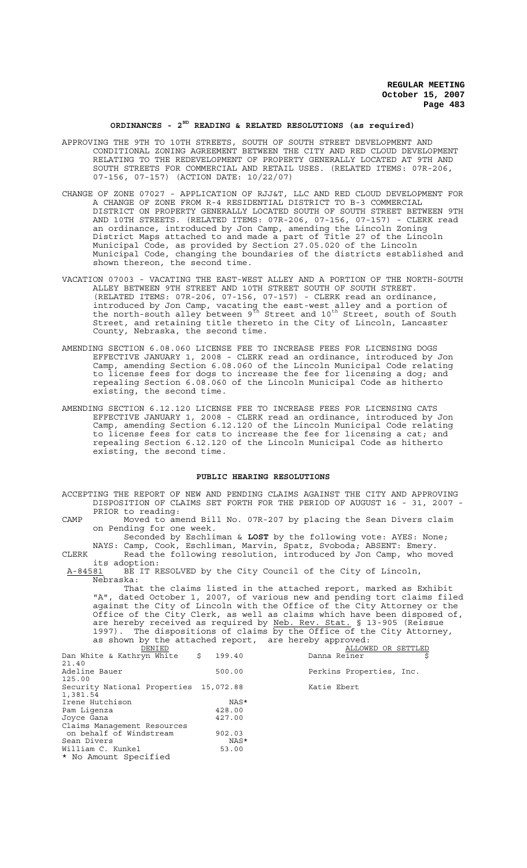### **ORDINANCES - 2ND READING & RELATED RESOLUTIONS (as required)**

- APPROVING THE 9TH TO 10TH STREETS, SOUTH OF SOUTH STREET DEVELOPMENT AND CONDITIONAL ZONING AGREEMENT BETWEEN THE CITY AND RED CLOUD DEVELOPMENT RELATING TO THE REDEVELOPMENT OF PROPERTY GENERALLY LOCATED AT 9TH AND SOUTH STREETS FOR COMMERCIAL AND RETAIL USES. (RELATED ITEMS: 07R-206, 07-156, 07-157) (ACTION DATE: 10/22/07)
- CHANGE OF ZONE 07027 APPLICATION OF RJJ&T, LLC AND RED CLOUD DEVELOPMENT FOR A CHANGE OF ZONE FROM R-4 RESIDENTIAL DISTRICT TO B-3 COMMERCIAL DISTRICT ON PROPERTY GENERALLY LOCATED SOUTH OF SOUTH STREET BETWEEN 9TH AND 10TH STREETS. (RELATED ITEMS: 07R-206, 07-156, 07-157) - CLERK read an ordinance, introduced by Jon Camp, amending the Lincoln Zoning District Maps attached to and made a part of Title 27 of the Lincoln Municipal Code, as provided by Section 27.05.020 of the Lincoln Municipal Code, changing the boundaries of the districts established and shown thereon, the second time.
- VACATION 07003 VACATING THE EAST-WEST ALLEY AND A PORTION OF THE NORTH-SOUTH ALLEY BETWEEN 9TH STREET AND 10TH STREET SOUTH OF SOUTH STREET. (RELATED ITEMS: 07R-206, 07-156, 07-157) - CLERK read an ordinance, introduced by Jon Camp, vacating the east-west alley and a portion of the north-south alley between  $9^{\text{th}}$  Street and  $10^{\text{th}}$  Street, south of South Street, and retaining title thereto in the City of Lincoln, Lancaster County, Nebraska, the second time.
- AMENDING SECTION 6.08.060 LICENSE FEE TO INCREASE FEES FOR LICENSING DOGS EFFECTIVE JANUARY 1, 2008 - CLERK read an ordinance, introduced by Jon Camp, amending Section 6.08.060 of the Lincoln Municipal Code relating to license fees for dogs to increase the fee for licensing a dog; and repealing Section 6.08.060 of the Lincoln Municipal Code as hitherto existing, the second time.
- AMENDING SECTION 6.12.120 LICENSE FEE TO INCREASE FEES FOR LICENSING CATS EFFECTIVE JANUARY 1, 2008 - CLERK read an ordinance, introduced by Jon Camp, amending Section 6.12.120 of the Lincoln Municipal Code relating to license fees for cats to increase the fee for licensing a cat; and repealing Section 6.12.120 of the Lincoln Municipal Code as hitherto existing, the second time.

### **PUBLIC HEARING RESOLUTIONS**

ACCEPTING THE REPORT OF NEW AND PENDING CLAIMS AGAINST THE CITY AND APPROVING DISPOSITION OF CLAIMS SET FORTH FOR THE PERIOD OF AUGUST 16 - 31, 2007 - PRIOR to reading:

CAMP Moved to amend Bill No. 07R-207 by placing the Sean Divers claim on Pending for one week.

Seconded by Eschliman & **LOST** by the following vote: AYES: None; NAYS: Camp, Cook, Eschliman, Marvin, Spatz, Svoboda; ABSENT: Emery. CLERK Read the following resolution, introduced by Jon Camp, who moved

its adoption: A-84581 BE IT RESOLVED by the City Council of the City of Lincoln, Nebraska:

That the claims listed in the attached report, marked as Exhibit "A", dated October 1, 2007, of various new and pending tort claims filed against the City of Lincoln with the Office of the City Attorney or the Office of the City Clerk, as well as claims which have been disposed of, are hereby received as required by Neb. Rev. Stat. § 13-905 (Reissue 1997). The dispositions of claims by the Office of the City Attorney, as shown by the attached report, are hereby approved:

| DENIED                                         |        | ALLOWED OR SETTLED       |
|------------------------------------------------|--------|--------------------------|
| Dan White & Kathryn White $\frac{1}{2}$ 199.40 |        | Danna Reiner             |
| 21.40                                          |        |                          |
| Adeline Bauer                                  | 500.00 | Perkins Properties, Inc. |
| 125.00                                         |        |                          |
| Security National Properties 15,072.88         |        | Katie Ebert              |
| 1,381.54                                       |        |                          |
| Irene Hutchison                                | NAS*   |                          |
| Pam Liqenza                                    | 428.00 |                          |
| Joyce Gana                                     | 427.00 |                          |
| Claims Management Resources                    |        |                          |
| on behalf of Windstream                        | 902.03 |                          |
| Sean Divers                                    | NAS*   |                          |
| William C. Kunkel                              | 53.00  |                          |
| * No Amount Specified                          |        |                          |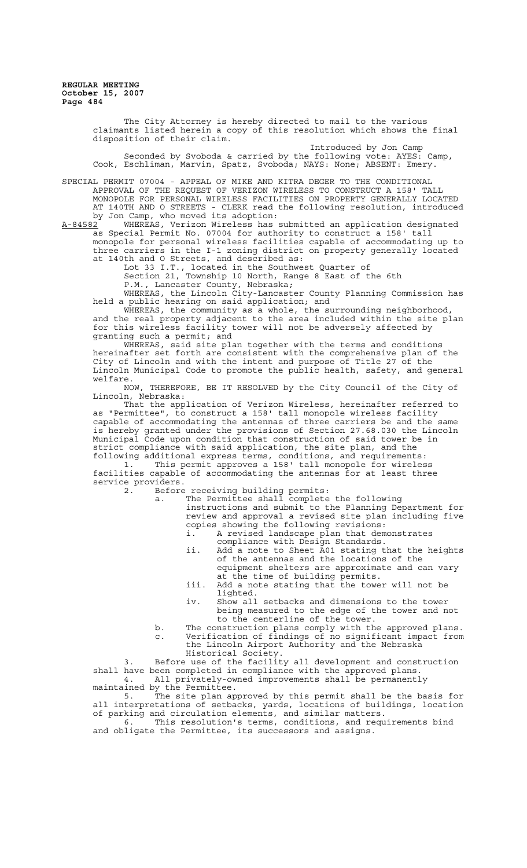> The City Attorney is hereby directed to mail to the various claimants listed herein a copy of this resolution which shows the final disposition of their claim.

Introduced by Jon Camp Seconded by Svoboda & carried by the following vote: AYES: Camp, Cook, Eschliman, Marvin, Spatz, Svoboda; NAYS: None; ABSENT: Emery.

SPECIAL PERMIT 07004 - APPEAL OF MIKE AND KITRA DEGER TO THE CONDITIONAL APPROVAL OF THE REQUEST OF VERIZON WIRELESS TO CONSTRUCT A 158' TALL MONOPOLE FOR PERSONAL WIRELESS FACILITIES ON PROPERTY GENERALLY LOCATED AT 140TH AND O STREETS - CLERK read the following resolution, introduced by Jon Camp, who moved its adoption:<br>A-84582 WHEREAS, Verizon Wireless has

WHEREAS, Verizon Wireless has submitted an application designated as Special Permit No. 07004 for authority to construct a 158' tall monopole for personal wireless facilities capable of accommodating up to three carriers in the I-1 zoning district on property generally located at 140th and O Streets, and described as:

Lot 33 I.T., located in the Southwest Quarter of

Section 21, Township 10 North, Range 8 East of the 6th

P.M., Lancaster County, Nebraska;

WHEREAS, the Lincoln City-Lancaster County Planning Commission has held a public hearing on said application; and

WHEREAS, the community as a whole, the surrounding neighborhood, and the real property adjacent to the area included within the site plan for this wireless facility tower will not be adversely affected by granting such a permit; and

WHEREAS, said site plan together with the terms and conditions hereinafter set forth are consistent with the comprehensive plan of the City of Lincoln and with the intent and purpose of Title 27 of the Lincoln Municipal Code to promote the public health, safety, and general welfare.

NOW, THEREFORE, BE IT RESOLVED by the City Council of the City of Lincoln, Nebraska:

That the application of Verizon Wireless, hereinafter referred to as "Permittee", to construct a 158' tall monopole wireless facility capable of accommodating the antennas of three carriers be and the same is hereby granted under the provisions of Section 27.68.030 the Lincoln Municipal Code upon condition that construction of said tower be in strict compliance with said application, the site plan, and the

following additional express terms, conditions, and requirements: 1. This permit approves a 158' tall monopole for wireless facilities capable of accommodating the antennas for at least three service providers.

2. Before receiving building permits:

a. The Permittee shall complete the following instructions and submit to the Planning Department for review and approval a revised site plan including five copies showing the following revisions: i. A revised landscape plan that demonstrates

compliance with Design Standards.

- ii. Add a note to Sheet A01 stating that the heights of the antennas and the locations of the equipment shelters are approximate and can vary
- at the time of building permits. iii. Add a note stating that the tower will not be lighted.
- iv. Show all setbacks and dimensions to the tower being measured to the edge of the tower and not to the centerline of the tower.
- b. The construction plans comply with the approved plans. c. Verification of findings of no significant impact from the Lincoln Airport Authority and the Nebraska
	- Historical Society.

Before use of the facility all development and construction shall have been completed in compliance with the approved plans. 4. All privately-owned improvements shall be permanently maintained by the Permittee.

5. The site plan approved by this permit shall be the basis for all interpretations of setbacks, yards, locations of buildings, location of parking and circulation elements, and similar matters.

6. This resolution's terms, conditions, and requirements bind and obligate the Permittee, its successors and assigns.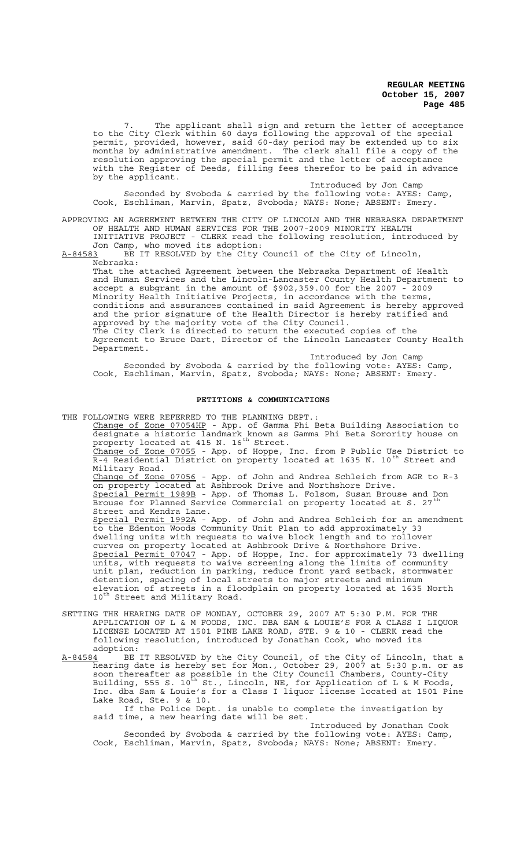7. The applicant shall sign and return the letter of acceptance to the City Clerk within 60 days following the approval of the special permit, provided, however, said 60-day period may be extended up to six months by administrative amendment. The clerk shall file a copy of the resolution approving the special permit and the letter of acceptance with the Register of Deeds, filling fees therefor to be paid in advance by the applicant.

Introduced by Jon Camp Seconded by Svoboda & carried by the following vote: AYES: Camp, Cook, Eschliman, Marvin, Spatz, Svoboda; NAYS: None; ABSENT: Emery.

APPROVING AN AGREEMENT BETWEEN THE CITY OF LINCOLN AND THE NEBRASKA DEPARTMENT OF HEALTH AND HUMAN SERVICES FOR THE 2007-2009 MINORITY HEALTH INITIATIVE PROJECT - CLERK read the following resolution, introduced by

Jon Camp, who moved its adoption: A-84583 BE IT RESOLVED by the City Council of the City of Lincoln, Nebraska:

That the attached Agreement between the Nebraska Department of Health and Human Services and the Lincoln-Lancaster County Health Department to accept a subgrant in the amount of \$902,359.00 for the 2007 - 2009 Minority Health Initiative Projects, in accordance with the terms, conditions and assurances contained in said Agreement is hereby approved and the prior signature of the Health Director is hereby ratified and approved by the majority vote of the City Council. The City Clerk is directed to return the executed copies of the Agreement to Bruce Dart, Director of the Lincoln Lancaster County Health Department.

Introduced by Jon Camp Seconded by Svoboda & carried by the following vote: AYES: Camp, Cook, Eschliman, Marvin, Spatz, Svoboda; NAYS: None; ABSENT: Emery.

# **PETITIONS & COMMUNICATIONS**

THE FOLLOWING WERE REFERRED TO THE PLANNING DEPT.:

Change of Zone 07054HP - App. of Gamma Phi Beta Building Association to designate a historic landmark known as Gamma Phi Beta Sorority house on property located at 415 N. 16<sup>th</sup> Street. Change of Zone 07055 - App. of Hoppe, Inc. from P Public Use District to

R-4 Residential District on property located at 1635 N. 10<sup>th</sup> Street and Military Road.

Change of Zone 07056 - App. of John and Andrea Schleich from AGR to R-3 on property located at Ashbrook Drive and Northshore Drive. Special Permit 1989B - App. of Thomas L. Folsom, Susan Brouse and Don Brouse for Planned Service Commercial on property located at S. 27<sup>th</sup> Planned Service Commercial on property located at S. 27<sup>t</sup> Street and Kendra Lane.

Special Permit 1992A - App. of John and Andrea Schleich for an amendment to the Edenton Woods Community Unit Plan to add approximately 33 dwelling units with requests to waive block length and to rollover curves on property located at Ashbrook Drive & Northshore Drive. Special Permit 07047 - App. of Hoppe, Inc. for approximately 73 dwelling units, with requests to waive screening along the limits of community unit plan, reduction in parking, reduce front yard setback, stormwater detention, spacing of local streets to major streets and minimum elevation of streets in a floodplain on property located at 1635 North  $10^{th}$  Street and Military Road.

- SETTING THE HEARING DATE OF MONDAY, OCTOBER 29, 2007 AT 5:30 P.M. FOR THE APPLICATION OF L & M FOODS, INC. DBA SAM & LOUIE'S FOR A CLASS I LIQUOR LICENSE LOCATED AT 1501 PINE LAKE ROAD, STE. 9 & 10 - CLERK read the following resolution, introduced by Jonathan Cook, who moved its adoption:
- A-84584 BE IT RESOLVED by the City Council, of the City of Lincoln, that a hearing date is hereby set for Mon., October 29, 2007 at 5:30 p.m. or as soon thereafter as possible in the City Council Chambers, County-City Building, 555 S. 10<sup>th</sup> St., Lincoln, NE, for Application of L & M Foods, Inc. dba Sam & Louie's for a Class I liquor license located at 1501 Pine Lake Road, Ste. 9 & 10.

If the Police Dept. is unable to complete the investigation by said time, a new hearing date will be set.

Introduced by Jonathan Cook Seconded by Svoboda & carried by the following vote: AYES: Camp, Cook, Eschliman, Marvin, Spatz, Svoboda; NAYS: None; ABSENT: Emery.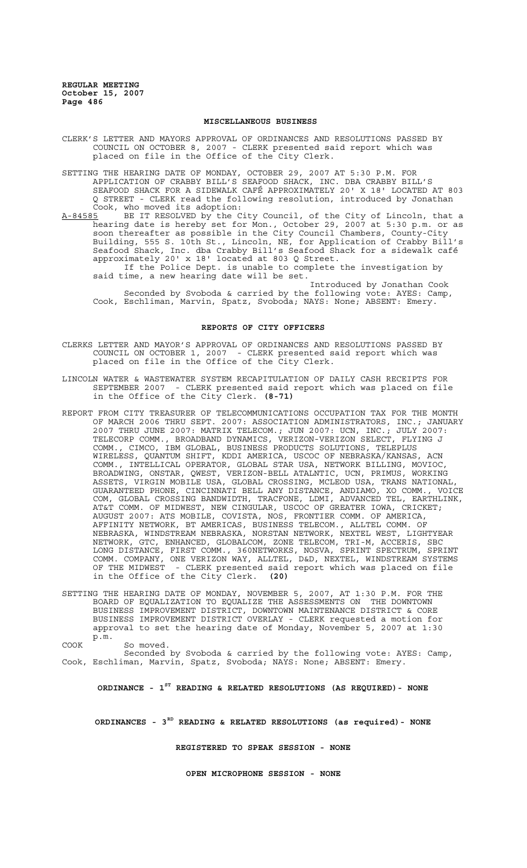## **MISCELLANEOUS BUSINESS**

CLERK'S LETTER AND MAYORS APPROVAL OF ORDINANCES AND RESOLUTIONS PASSED BY COUNCIL ON OCTOBER 8, 2007 - CLERK presented said report which was placed on file in the Office of the City Clerk.

SETTING THE HEARING DATE OF MONDAY, OCTOBER 29, 2007 AT 5:30 P.M. FOR APPLICATION OF CRABBY BILL'S SEAFOOD SHACK, INC. DBA CRABBY BILL'S SEAFOOD SHACK FOR A SIDEWALK CAFÉ APPROXIMATELY 20' X 18' LOCATED AT 803 Q STREET - CLERK read the following resolution, introduced by Jonathan Cook, who moved its adoption:

A-84585 BE IT RESOLVED by the City Council, of the City of Lincoln, that a hearing date is hereby set for Mon., October 29, 2007 at 5:30 p.m. or as soon thereafter as possible in the City Council Chambers, County-City Building, 555 S. 10th St., Lincoln, NE, for Application of Crabby Bill's Seafood Shack, Inc. dba Crabby Bill's Seafood Shack for a sidewalk café approximately 20' x 18' located at 803 Q Street.

 If the Police Dept. is unable to complete the investigation by said time, a new hearing date will be set.

Introduced by Jonathan Cook Seconded by Svoboda & carried by the following vote: AYES: Camp, Cook, Eschliman, Marvin, Spatz, Svoboda; NAYS: None; ABSENT: Emery.

### **REPORTS OF CITY OFFICERS**

CLERKS LETTER AND MAYOR'S APPROVAL OF ORDINANCES AND RESOLUTIONS PASSED BY COUNCIL ON OCTOBER 1, 2007 - CLERK presented said report which was placed on file in the Office of the City Clerk.

- LINCOLN WATER & WASTEWATER SYSTEM RECAPITULATION OF DAILY CASH RECEIPTS FOR SEPTEMBER 2007 - CLERK presented said report which was placed on file in the Office of the City Clerk. **(8-71)**
- REPORT FROM CITY TREASURER OF TELECOMMUNICATIONS OCCUPATION TAX FOR THE MONTH OF MARCH 2006 THRU SEPT. 2007: ASSOCIATION ADMINISTRATORS, INC.; JANUARY 2007 THRU JUNE 2007: MATRIX TELECOM.; JUN 2007: UCN, INC.; JULY 2007: TELECORP COMM., BROADBAND DYNAMICS, VERIZON-VERIZON SELECT, FLYING J COMM., CIMCO, IBM GLOBAL, BUSINESS PRODUCTS SOLUTIONS, TELEPLUS WIRELESS, QUANTUM SHIFT, KDDI AMERICA, USCOC OF NEBRASKA/KANSAS, ACN COMM., INTELLICAL OPERATOR, GLOBAL STAR USA, NETWORK BILLING, MOVIOC, BROADWING, ONSTAR, QWEST, VERIZON-BELL ATALNTIC, UCN, PRIMUS, WORKING ASSETS, VIRGIN MOBILE USA, GLOBAL CROSSING, MCLEOD USA, TRANS NATIONAL, GUARANTEED PHONE, CINCINNATI BELL ANY DISTANCE, ANDIAMO, XO COMM., VOICE COM, GLOBAL CROSSING BANDWIDTH, TRACFONE, LDMI, ADVANCED TEL, EARTHLINK, AT&T COMM. OF MIDWEST, NEW CINGULAR, USCOC OF GREATER IOWA, CRICKET; AUGUST 2007: ATS MOBILE, COVISTA, NOS, FRONTIER COMM. OF AMERICA, AFFINITY NETWORK, BT AMERICAS, BUSINESS TELECOM., ALLTEL COMM. OF NEBRASKA, WINDSTREAM NEBRASKA, NORSTAN NETWORK, NEXTEL WEST, LIGHTYEAR NETWORK, GTC, ENHANCED, GLOBALCOM, ZONE TELECOM, TRI-M, ACCERIS, SBC LONG DISTANCE, FIRST COMM., 360NETWORKS, NOSVA, SPRINT SPECTRUM, SPRINT COMM. COMPANY, ONE VERIZON WAY, ALLTEL, D&D, NEXTEL, WINDSTREAM SYSTEMS OF THE MIDWEST - CLERK presented said report which was placed on file in the Office of the City Clerk. **(20)**
- SETTING THE HEARING DATE OF MONDAY, NOVEMBER 5, 2007, AT 1:30 P.M. FOR THE BOARD OF EQUALIZATION TO EQUALIZE THE ASSESSMENTS ON THE DOWNTOWN BUSINESS IMPROVEMENT DISTRICT, DOWNTOWN MAINTENANCE DISTRICT & CORE BUSINESS IMPROVEMENT DISTRICT OVERLAY - CLERK requested a motion for approval to set the hearing date of Monday, November 5, 2007 at 1:30 p.m.

COOK So moved.

Seconded by Svoboda & carried by the following vote: AYES: Camp, Cook, Eschliman, Marvin, Spatz, Svoboda; NAYS: None; ABSENT: Emery.

**ORDINANCE - 1ST READING & RELATED RESOLUTIONS (AS REQUIRED)- NONE**

**ORDINANCES - 3RD READING & RELATED RESOLUTIONS (as required)- NONE**

**REGISTERED TO SPEAK SESSION - NONE**

**OPEN MICROPHONE SESSION - NONE**